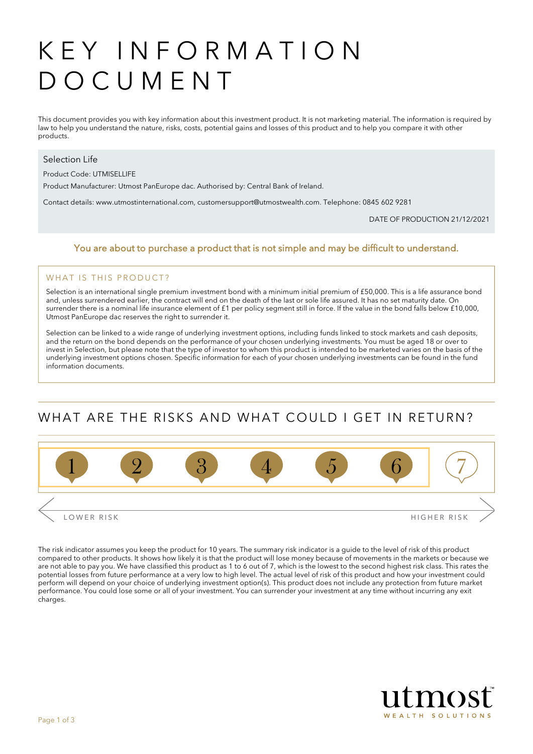# KEY INFORMATION DOCUMENT

This document provides you with key information about this investment product. It is not marketing material. The information is required by law to help you understand the nature, risks, costs, potential gains and losses of this product and to help you compare it with other products.

#### Selection Life

Product Code: UTMISELLIFE

Product Manufacturer: Utmost PanEurope dac. Authorised by: Central Bank of Ireland.

Contact details: www.utmostinternational.com, customersupport@utmostwealth.com. Telephone: 0845 602 9281

DATE OF PRODUCTION 21/12/2021

#### You are about to purchase a product that is not simple and may be difficult to understand.

#### WHAT IS THIS PRODUCT?

Selection is an international single premium investment bond with a minimum initial premium of £50,000. This is a life assurance bond and, unless surrendered earlier, the contract will end on the death of the last or sole life assured. It has no set maturity date. On surrender there is a nominal life insurance element of £1 per policy segment still in force. If the value in the bond falls below £10,000, Utmost PanEurope dac reserves the right to surrender it.

Selection can be linked to a wide range of underlying investment options, including funds linked to stock markets and cash deposits, and the return on the bond depends on the performance of your chosen underlying investments. You must be aged 18 or over to invest in Selection, but please note that the type of investor to whom this product is intended to be marketed varies on the basis of the underlying investment options chosen. Specific information for each of your chosen underlying investments can be found in the fund information documents.

## WHAT ARE THE RISKS AND WHAT COULD LGET IN RETURN?



The risk indicator assumes you keep the product for 10 years. The summary risk indicator is a guide to the level of risk of this product compared to other products. It shows how likely it is that the product will lose money because of movements in the markets or because we are not able to pay you. We have classified this product as 1 to 6 out of 7, which is the lowest to the second highest risk class. This rates the potential losses from future performance at a very low to high level. The actual level of risk of this product and how your investment could perform will depend on your choice of underlying investment option(s). This product does not include any protection from future market performance. You could lose some or all of your investment. You can surrender your investment at any time without incurring any exit charges.

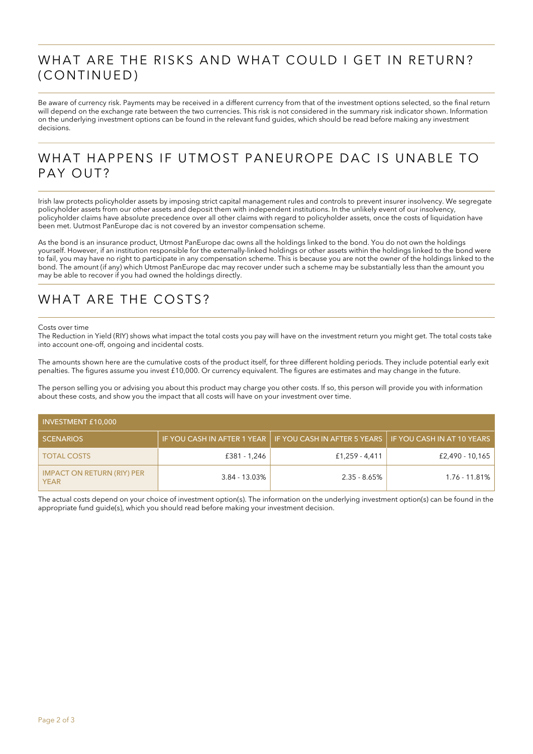### WHAT ARE THE RISKS AND WHAT COULD I GET IN RETURN? (CONTINUED)

Be aware of currency risk. Payments may be received in a different currency from that of the investment options selected, so the final return will depend on the exchange rate between the two currencies. This risk is not considered in the summary risk indicator shown. Information on the underlying investment options can be found in the relevant fund guides, which should be read before making any investment decisions.

### WHAT HAPPENS IF UTMOST PANEUROPE DAC IS UNABLE TO PAY OUT?

Irish law protects policyholder assets by imposing strict capital management rules and controls to prevent insurer insolvency. We segregate policyholder assets from our other assets and deposit them with independent institutions. In the unlikely event of our insolvency, policyholder claims have absolute precedence over all other claims with regard to policyholder assets, once the costs of liquidation have been met. Uutmost PanEurope dac is not covered by an investor compensation scheme.

As the bond is an insurance product, Utmost PanEurope dac owns all the holdings linked to the bond. You do not own the holdings yourself. However, if an institution responsible for the externally-linked holdings or other assets within the holdings linked to the bond were to fail, you may have no right to participate in any compensation scheme. This is because you are not the owner of the holdings linked to the bond. The amount (if any) which Utmost PanEurope dac may recover under such a scheme may be substantially less than the amount you may be able to recover if you had owned the holdings directly.

### WHAT ARE THE COSTS?

#### Costs over time

The Reduction in Yield (RIY) shows what impact the total costs you pay will have on the investment return you might get. The total costs take into account one-off, ongoing and incidental costs.

The amounts shown here are the cumulative costs of the product itself, for three different holding periods. They include potential early exit penalties. The figures assume you invest £10,000. Or currency equivalent. The figures are estimates and may change in the future.

The person selling you or advising you about this product may charge you other costs. If so, this person will provide you with information about these costs, and show you the impact that all costs will have on your investment over time.

| <b>INVESTMENT £10,000</b>                        |                  |                                                            |                            |  |  |
|--------------------------------------------------|------------------|------------------------------------------------------------|----------------------------|--|--|
| <b>SCENARIOS</b>                                 |                  | IF YOU CASH IN AFTER 1 YEAR   IF YOU CASH IN AFTER 5 YEARS | IF YOU CASH IN AT 10 YEARS |  |  |
| <b>TOTAL COSTS</b>                               | £381 - 1.246     | £1.259 - 4.411                                             | £2,490 - 10,165            |  |  |
| <b>IMPACT ON RETURN (RIY) PER</b><br><b>YEAR</b> | $3.84 - 13.03\%$ | $2.35 - 8.65\%$                                            | 1.76 - 11.81%              |  |  |

The actual costs depend on your choice of investment option(s). The information on the underlying investment option(s) can be found in the appropriate fund guide(s), which you should read before making your investment decision.